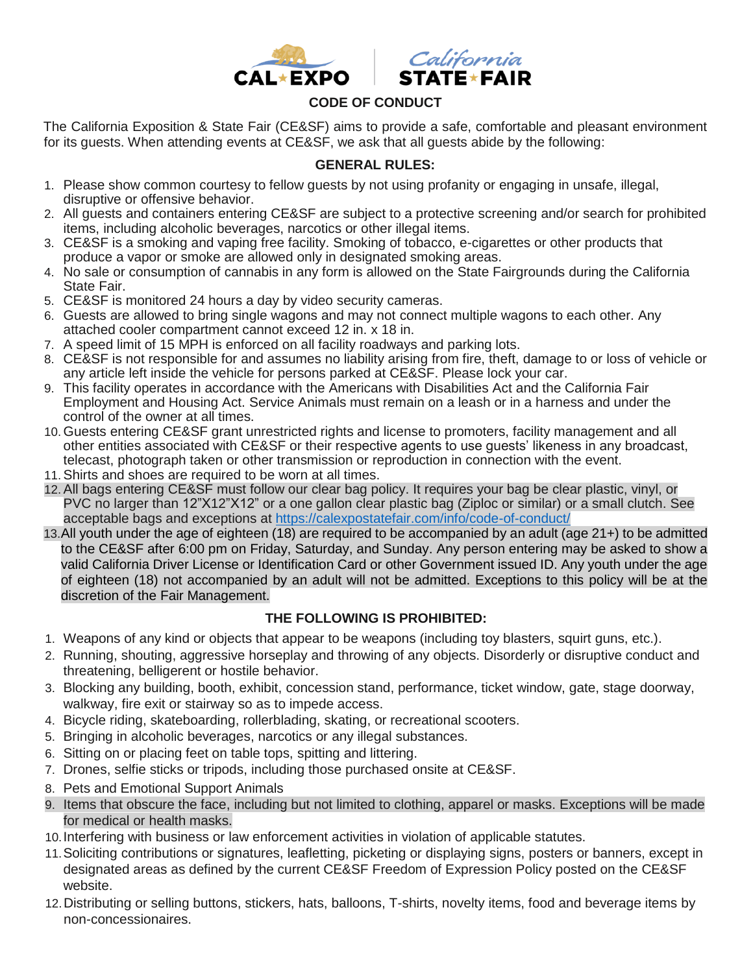

## **CODE OF CONDUCT**

The California Exposition & State Fair (CE&SF) aims to provide a safe, comfortable and pleasant environment for its guests. When attending events at CE&SF, we ask that all guests abide by the following:

## **GENERAL RULES:**

- 1. Please show common courtesy to fellow guests by not using profanity or engaging in unsafe, illegal, disruptive or offensive behavior.
- 2. All guests and containers entering CE&SF are subject to a protective screening and/or search for prohibited items, including alcoholic beverages, narcotics or other illegal items.
- 3. CE&SF is a smoking and vaping free facility. Smoking of tobacco, e-cigarettes or other products that produce a vapor or smoke are allowed only in designated smoking areas.
- 4. No sale or consumption of cannabis in any form is allowed on the State Fairgrounds during the California State Fair.
- 5. CE&SF is monitored 24 hours a day by video security cameras.
- 6. Guests are allowed to bring single wagons and may not connect multiple wagons to each other. Any attached cooler compartment cannot exceed 12 in. x 18 in.
- 7. A speed limit of 15 MPH is enforced on all facility roadways and parking lots.
- 8. CE&SF is not responsible for and assumes no liability arising from fire, theft, damage to or loss of vehicle or any article left inside the vehicle for persons parked at CE&SF. Please lock your car.
- 9. This facility operates in accordance with the Americans with Disabilities Act and the California Fair Employment and Housing Act. Service Animals must remain on a leash or in a harness and under the control of the owner at all times.
- 10. Guests entering CE&SF grant unrestricted rights and license to promoters, facility management and all other entities associated with CE&SF or their respective agents to use guests' likeness in any broadcast, telecast, photograph taken or other transmission or reproduction in connection with the event.
- 11.Shirts and shoes are required to be worn at all times.
- 12.All bags entering CE&SF must follow our clear bag policy. It requires your bag be clear plastic, vinyl, or PVC no larger than 12"X12"X12" or a one gallon clear plastic bag (Ziploc or similar) or a small clutch. See acceptable bags and exceptions at<https://calexpostatefair.com/info/code-of-conduct/>
- 13.All youth under the age of eighteen (18) are required to be accompanied by an adult (age 21+) to be admitted to the CE&SF after 6:00 pm on Friday, Saturday, and Sunday. Any person entering may be asked to show a valid California Driver License or Identification Card or other Government issued ID. Any youth under the age of eighteen (18) not accompanied by an adult will not be admitted. Exceptions to this policy will be at the discretion of the Fair Management.

## **THE FOLLOWING IS PROHIBITED:**

- 1. Weapons of any kind or objects that appear to be weapons (including toy blasters, squirt guns, etc.).
- 2. Running, shouting, aggressive horseplay and throwing of any objects. Disorderly or disruptive conduct and threatening, belligerent or hostile behavior.
- 3. Blocking any building, booth, exhibit, concession stand, performance, ticket window, gate, stage doorway, walkway, fire exit or stairway so as to impede access.
- 4. Bicycle riding, skateboarding, rollerblading, skating, or recreational scooters.
- 5. Bringing in alcoholic beverages, narcotics or any illegal substances.
- 6. Sitting on or placing feet on table tops, spitting and littering.
- 7. Drones, selfie sticks or tripods, including those purchased onsite at CE&SF.
- 8. Pets and Emotional Support Animals
- 9. Items that obscure the face, including but not limited to clothing, apparel or masks. Exceptions will be made for medical or health masks.
- 10.Interfering with business or law enforcement activities in violation of applicable statutes.
- 11.Soliciting contributions or signatures, leafletting, picketing or displaying signs, posters or banners, except in designated areas as defined by the current CE&SF Freedom of Expression Policy posted on the CE&SF website.
- 12.Distributing or selling buttons, stickers, hats, balloons, T-shirts, novelty items, food and beverage items by non-concessionaires.